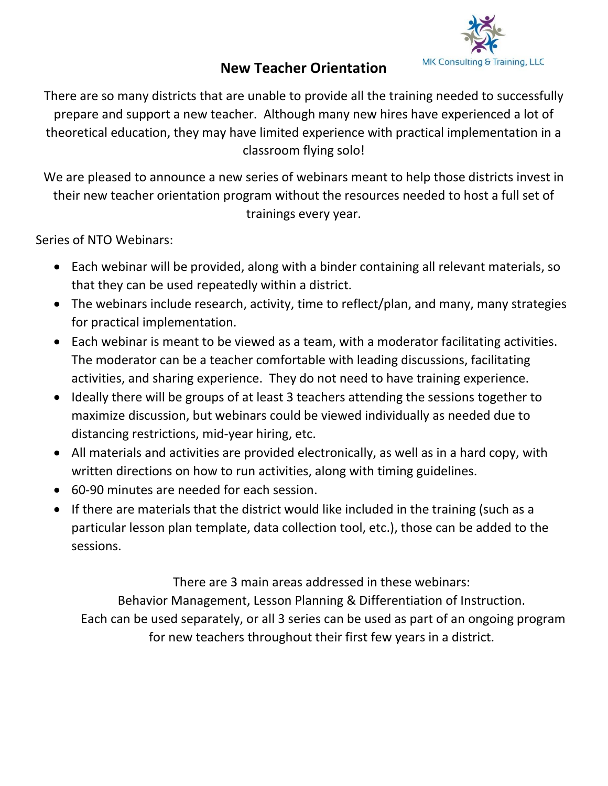

## **New Teacher Orientation**

There are so many districts that are unable to provide all the training needed to successfully prepare and support a new teacher. Although many new hires have experienced a lot of theoretical education, they may have limited experience with practical implementation in a classroom flying solo!

We are pleased to announce a new series of webinars meant to help those districts invest in their new teacher orientation program without the resources needed to host a full set of trainings every year.

Series of NTO Webinars:

- Each webinar will be provided, along with a binder containing all relevant materials, so that they can be used repeatedly within a district.
- The webinars include research, activity, time to reflect/plan, and many, many strategies for practical implementation.
- Each webinar is meant to be viewed as a team, with a moderator facilitating activities. The moderator can be a teacher comfortable with leading discussions, facilitating activities, and sharing experience. They do not need to have training experience.
- Ideally there will be groups of at least 3 teachers attending the sessions together to maximize discussion, but webinars could be viewed individually as needed due to distancing restrictions, mid-year hiring, etc.
- All materials and activities are provided electronically, as well as in a hard copy, with written directions on how to run activities, along with timing guidelines.
- 60-90 minutes are needed for each session.
- If there are materials that the district would like included in the training (such as a particular lesson plan template, data collection tool, etc.), those can be added to the sessions.

There are 3 main areas addressed in these webinars:

Behavior Management, Lesson Planning & Differentiation of Instruction.

Each can be used separately, or all 3 series can be used as part of an ongoing program for new teachers throughout their first few years in a district.